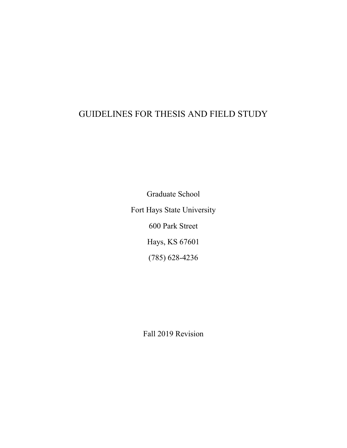# GUIDELINES FOR THESIS AND FIELD STUDY

Graduate School Fort Hays State University 600 Park Street Hays, KS 67601 (785) 628-4236

Fall 2019 Revision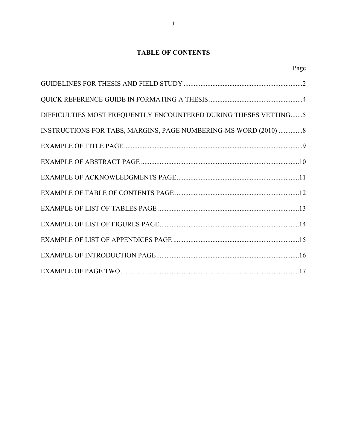### **TABLE OF CONTENTS**

| DIFFICULTIES MOST FREQUENTLY ENCOUNTERED DURING THESES VETTING5  |
|------------------------------------------------------------------|
| INSTRUCTIONS FOR TABS, MARGINS, PAGE NUMBERING-MS WORD (2010)  8 |
|                                                                  |
|                                                                  |
|                                                                  |
|                                                                  |
|                                                                  |
|                                                                  |
|                                                                  |
|                                                                  |
|                                                                  |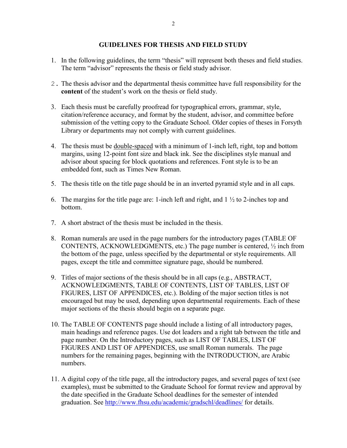#### **GUIDELINES FOR THESIS AND FIELD STUDY**

- 1. In the following guidelines, the term "thesis" will represent both theses and field studies. The term "advisor" represents the thesis or field study advisor.
- 2. The thesis advisor and the departmental thesis committee have full responsibility for the **content** of the student's work on the thesis or field study.
- 3. Each thesis must be carefully proofread for typographical errors, grammar, style, citation/reference accuracy, and format by the student, advisor, and committee before submission of the vetting copy to the Graduate School. Older copies of theses in Forsyth Library or departments may not comply with current guidelines.
- 4. The thesis must be double-spaced with a minimum of 1-inch left, right, top and bottom margins, using 12-point font size and black ink. See the disciplines style manual and advisor about spacing for block quotations and references. Font style is to be an embedded font, such as Times New Roman.
- 5. The thesis title on the title page should be in an inverted pyramid style and in all caps.
- 6. The margins for the title page are: 1-inch left and right, and  $1 \frac{1}{2}$  to 2-inches top and bottom.
- 7. A short abstract of the thesis must be included in the thesis.
- 8. Roman numerals are used in the page numbers for the introductory pages (TABLE OF CONTENTS, ACKNOWLEDGMENTS, etc.) The page number is centered,  $\frac{1}{2}$  inch from the bottom of the page, unless specified by the departmental or style requirements. All pages, except the title and committee signature page, should be numbered.
- 9. Titles of major sections of the thesis should be in all caps (e.g., ABSTRACT, ACKNOWLEDGMENTS, TABLE OF CONTENTS, LIST OF TABLES, LIST OF FIGURES, LIST OF APPENDICES, etc.). Bolding of the major section titles is not encouraged but may be used, depending upon departmental requirements. Each of these major sections of the thesis should begin on a separate page.
- 10. The TABLE OF CONTENTS page should include a listing of all introductory pages, main headings and reference pages. Use dot leaders and a right tab between the title and page number. On the Introductory pages, such as LIST OF TABLES, LIST OF FIGURES AND LIST OF APPENDICES, use small Roman numerals. The page numbers for the remaining pages, beginning with the INTRODUCTION, are Arabic numbers.
- 11. A digital copy of the title page, all the introductory pages, and several pages of text (see examples), must be submitted to the Graduate School for format review and approval by the date specified in the Graduate School deadlines for the semester of intended graduation. See<http://www.fhsu.edu/academic/gradschl/deadlines/> for details.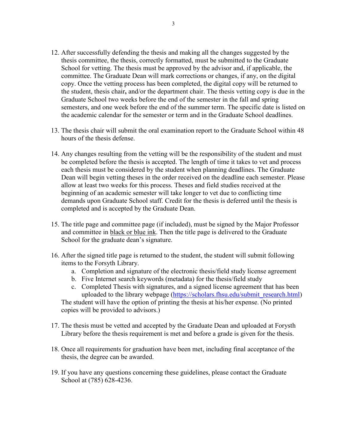- 12. After successfully defending the thesis and making all the changes suggested by the thesis committee, the thesis, correctly formatted, must be submitted to the Graduate School for vetting. The thesis must be approved by the advisor and, if applicable, the committee. The Graduate Dean will mark corrections or changes, if any, on the digital copy. Once the vetting process has been completed, the digital copy will be returned to the student, thesis chair**,** and/or the department chair. The thesis vetting copy is due in the Graduate School two weeks before the end of the semester in the fall and spring semesters, and one week before the end of the summer term. The specific date is listed on the academic calendar for the semester or term and in the Graduate School deadlines.
- 13. The thesis chair will submit the oral examination report to the Graduate School within 48 hours of the thesis defense.
- 14. Any changes resulting from the vetting will be the responsibility of the student and must be completed before the thesis is accepted. The length of time it takes to vet and process each thesis must be considered by the student when planning deadlines. The Graduate Dean will begin vetting theses in the order received on the deadline each semester. Please allow at least two weeks for this process. Theses and field studies received at the beginning of an academic semester will take longer to vet due to conflicting time demands upon Graduate School staff. Credit for the thesis is deferred until the thesis is completed and is accepted by the Graduate Dean.
- 15. The title page and committee page (if included), must be signed by the Major Professor and committee in black or blue ink. Then the title page is delivered to the Graduate School for the graduate dean's signature.
- 16. After the signed title page is returned to the student, the student will submit following items to the Forsyth Library.
	- a. Completion and signature of the electronic thesis/field study license agreement
	- b. Five Internet search keywords (metadata) for the thesis/field study
	- c. Completed Thesis with signatures, and a signed license agreement that has been uploaded to the library webpage [\(https://scholars.fhsu.edu/submit\\_research.html\)](https://scholars.fhsu.edu/submit_research.html) The student will have the option of printing the thesis at his/her expense. (No printed copies will be provided to advisors.)
- 17. The thesis must be vetted and accepted by the Graduate Dean and uploaded at Forysth Library before the thesis requirement is met and before a grade is given for the thesis.
- 18. Once all requirements for graduation have been met, including final acceptance of the thesis, the degree can be awarded.
- 19. If you have any questions concerning these guidelines, please contact the Graduate School at (785) 628-4236.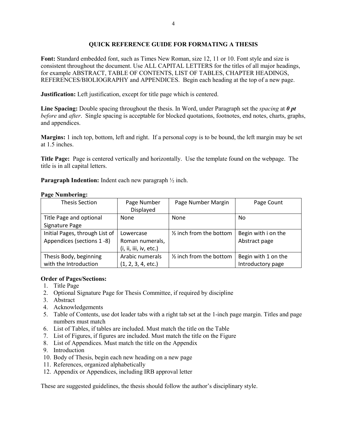#### **QUICK REFERENCE GUIDE FOR FORMATING A THESIS**

Font: Standard embedded font, such as Times New Roman, size 12, 11 or 10. Font style and size is consistent throughout the document. Use ALL CAPITAL LETTERS for the titles of all major headings, for example ABSTRACT, TABLE OF CONTENTS, LIST OF TABLES, CHAPTER HEADINGS, REFERENCES/BIOLIOGRAPHY and APPENDICES. Begin each heading at the top of a new page.

**Justification:** Left justification, except for title page which is centered.

**Line Spacing:** Double spacing throughout the thesis. In Word, under Paragraph set the *spacing* at *0 pt before* and *after*. Single spacing is acceptable for blocked quotations, footnotes, end notes, charts, graphs, and appendices.

**Margins:** 1 inch top, bottom, left and right. If a personal copy is to be bound, the left margin may be set at 1.5 inches.

**Title Page:** Page is centered vertically and horizontally. Use the template found on the webpage. The title is in all capital letters.

**Paragraph Indention:** Indent each new paragraph  $\frac{1}{2}$  inch.

|  | <b>Page Numbering:</b> |
|--|------------------------|
|  |                        |

| <b>Thesis Section</b>          | Page Number            | Page Number Margin       | Page Count          |
|--------------------------------|------------------------|--------------------------|---------------------|
|                                | Displayed              |                          |                     |
| Title Page and optional        | <b>None</b>            | None                     | No                  |
| Signature Page                 |                        |                          |                     |
| Initial Pages, through List of | Lowercase              | 1/2 inch from the bottom | Begin with i on the |
| Appendices (sections 1-8)      | Roman numerals,        |                          | Abstract page       |
|                                | (i, ii, iii, iv, etc.) |                          |                     |
| Thesis Body, beginning         | Arabic numerals        | 1/2 inch from the bottom | Begin with 1 on the |
| with the Introduction          | (1, 2, 3, 4, etc.)     |                          | Introductory page   |

#### **Order of Pages/Sections:**

- 1. Title Page
- 2. Optional Signature Page for Thesis Committee, if required by discipline
- 3. Abstract
- 4. Acknowledgements
- 5. Table of Contents, use dot leader tabs with a right tab set at the 1-inch page margin. Titles and page numbers must match
- 6. List of Tables, if tables are included. Must match the title on the Table
- 7. List of Figures, if figures are included. Must match the title on the Figure
- 8. List of Appendices. Must match the title on the Appendix
- 9. Introduction
- 10. Body of Thesis, begin each new heading on a new page
- 11. References, organized alphabetically
- 12. Appendix or Appendices, including IRB approval letter

These are suggested guidelines, the thesis should follow the author's disciplinary style.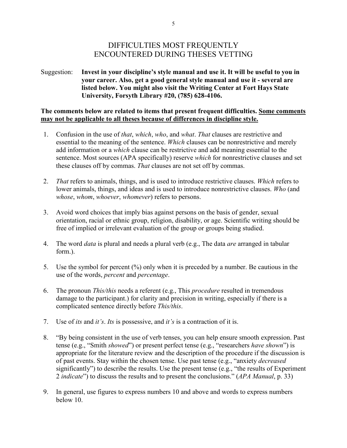### DIFFICULTIES MOST FREQUENTLY ENCOUNTERED DURING THESES VETTING

Suggestion: **Invest in your discipline's style manual and use it. It will be useful to you in your career. Also, get a good general style manual and use it - several are listed below. You might also visit the Writing Center at Fort Hays State University, Forsyth Library #20, (785) 628-4106.**

#### **The comments below are related to items that present frequent difficulties. Some comments may not be applicable to all theses because of differences in discipline style.**

- 1. Confusion in the use of *that*, *which*, *who*, and *what*. *That* clauses are restrictive and essential to the meaning of the sentence. *Which* clauses can be nonrestrictive and merely add information or a *which* clause can be restrictive and add meaning essential to the sentence. Most sources (APA specifically) reserve *which* for nonrestrictive clauses and set these clauses off by commas. *That* clauses are not set off by commas.
- 2. *That* refers to animals, things, and is used to introduce restrictive clauses. *Which* refers to lower animals, things, and ideas and is used to introduce nonrestrictive clauses. *Who* (and *whose*, *whom*, *whoever*, *whomever*) refers to persons.
- 3. Avoid word choices that imply bias against persons on the basis of gender, sexual orientation, racial or ethnic group, religion, disability, or age. Scientific writing should be free of implied or irrelevant evaluation of the group or groups being studied.
- 4. The word *data* is plural and needs a plural verb (e.g., The data *are* arranged in tabular form.).
- 5. Use the symbol for percent (%) only when it is preceded by a number. Be cautious in the use of the words, *percent* and *percentage*.
- 6. The pronoun *This/this* needs a referent (e.g., This *procedure* resulted in tremendous damage to the participant.) for clarity and precision in writing, especially if there is a complicated sentence directly before *This/this*.
- 7. Use of *its* and *it's*. *Its* is possessive, and *it's* is a contraction of it is.
- 8. "By being consistent in the use of verb tenses, you can help ensure smooth expression. Past tense (e.g., "Smith *showed*") or present perfect tense (e.g., "researchers *have shown*") is appropriate for the literature review and the description of the procedure if the discussion is of past events. Stay within the chosen tense. Use past tense (e.g., "anxiety *decreased*  significantly") to describe the results. Use the present tense (e.g., "the results of Experiment 2 *indicate*") to discuss the results and to present the conclusions." (*APA Manual*, p. 33)
- 9. In general, use figures to express numbers 10 and above and words to express numbers below 10.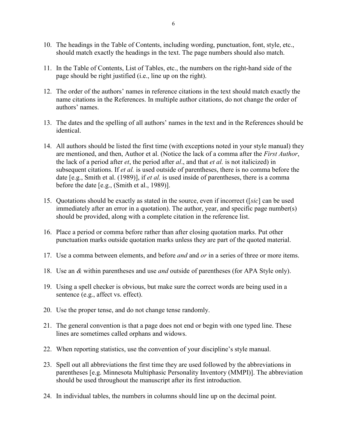- 10. The headings in the Table of Contents, including wording, punctuation, font, style, etc., should match exactly the headings in the text. The page numbers should also match.
- 11. In the Table of Contents, List of Tables, etc., the numbers on the right-hand side of the page should be right justified (i.e., line up on the right).
- 12. The order of the authors' names in reference citations in the text should match exactly the name citations in the References. In multiple author citations, do not change the order of authors' names.
- 13. The dates and the spelling of all authors' names in the text and in the References should be identical.
- 14. All authors should be listed the first time (with exceptions noted in your style manual) they are mentioned, and then, Author et al. (Notice the lack of a comma after the *First Author*, the lack of a period after *et*, the period after *al*., and that *et al.* is not italicized) in subsequent citations. If *et al.* is used outside of parentheses, there is no comma before the date [e.g., Smith et al. (1989)], if *et al.* is used inside of parentheses, there is a comma before the date [e.g., (Smith et al., 1989)].
- 15. Quotations should be exactly as stated in the source, even if incorrect ([*sic*] can be used immediately after an error in a quotation). The author, year, and specific page number(s) should be provided, along with a complete citation in the reference list.
- 16. Place a period or comma before rather than after closing quotation marks. Put other punctuation marks outside quotation marks unless they are part of the quoted material.
- 17. Use a comma between elements, and before *and* and *or* in a series of three or more items.
- 18. Use an *&* within parentheses and use *and* outside of parentheses (for APA Style only).
- 19. Using a spell checker is obvious, but make sure the correct words are being used in a sentence (e.g., affect vs. effect).
- 20. Use the proper tense, and do not change tense randomly.
- 21. The general convention is that a page does not end or begin with one typed line. These lines are sometimes called orphans and widows.
- 22. When reporting statistics, use the convention of your discipline's style manual.
- 23. Spell out all abbreviations the first time they are used followed by the abbreviations in parentheses [e.g. Minnesota Multiphasic Personality Inventory (MMPI)]. The abbreviation should be used throughout the manuscript after its first introduction.
- 24. In individual tables, the numbers in columns should line up on the decimal point.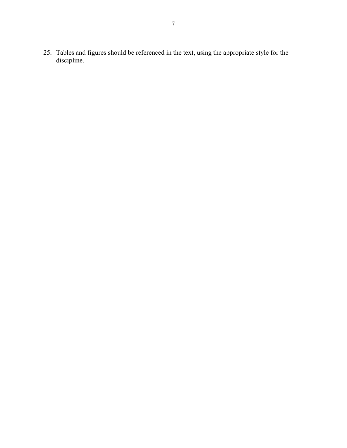25. Tables and figures should be referenced in the text, using the appropriate style for the discipline.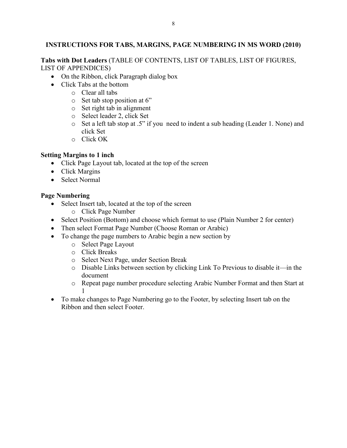### **INSTRUCTIONS FOR TABS, MARGINS, PAGE NUMBERING IN MS WORD (2010)**

**Tabs with Dot Leaders** (TABLE OF CONTENTS, LIST OF TABLES, LIST OF FIGURES, LIST OF APPENDICES)

- On the Ribbon, click Paragraph dialog box
- Click Tabs at the bottom
	- o Clear all tabs
	- o Set tab stop position at 6"
	- o Set right tab in alignment
	- o Select leader 2, click Set
	- o Set a left tab stop at .5" if you need to indent a sub heading (Leader 1. None) and click Set
	- o Click OK

### **Setting Margins to 1 inch**

- Click Page Layout tab, located at the top of the screen
- Click Margins
- Select Normal

### **Page Numbering**

- Select Insert tab, located at the top of the screen
	- o Click Page Number
- Select Position (Bottom) and choose which format to use (Plain Number 2 for center)
- Then select Format Page Number (Choose Roman or Arabic)
- To change the page numbers to Arabic begin a new section by
	- o Select Page Layout
	- o Click Breaks
	- o Select Next Page, under Section Break
	- o Disable Links between section by clicking Link To Previous to disable it—in the document
	- o Repeat page number procedure selecting Arabic Number Format and then Start at 1
- To make changes to Page Numbering go to the Footer, by selecting Insert tab on the Ribbon and then select Footer.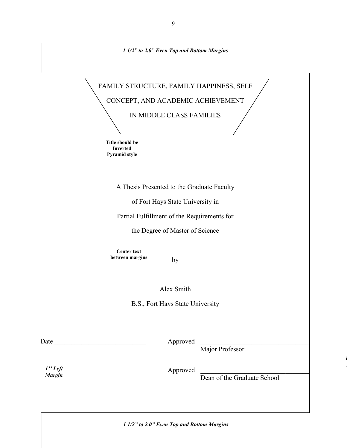|               | 1 1/2" to 2.0" Even Top and Bottom Margins          |
|---------------|-----------------------------------------------------|
|               | FAMILY STRUCTURE, FAMILY HAPPINESS, SELF            |
|               | CONCEPT, AND ACADEMIC ACHIEVEMENT                   |
|               | IN MIDDLE CLASS FAMILIES                            |
|               |                                                     |
|               | Title should be<br><b>Inverted</b><br>Pyramid style |
|               | A Thesis Presented to the Graduate Faculty          |
|               | of Fort Hays State University in                    |
|               | Partial Fulfillment of the Requirements for         |
|               | the Degree of Master of Science                     |
|               | <b>Center text</b><br>between margins<br>by         |
|               | Alex Smith                                          |
|               | B.S., Fort Hays State University                    |
|               | Approved                                            |
|               | Major Professor                                     |
| $1"$ Left     | Approved                                            |
| <b>Margin</b> | Dean of the Graduate School                         |
|               |                                                     |
|               | 1 1/2" to 2.0" Even Top and Bottom Margins          |

*1*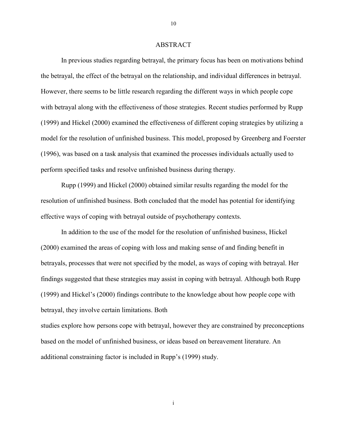#### ABSTRACT

In previous studies regarding betrayal, the primary focus has been on motivations behind the betrayal, the effect of the betrayal on the relationship, and individual differences in betrayal. However, there seems to be little research regarding the different ways in which people cope with betrayal along with the effectiveness of those strategies. Recent studies performed by Rupp (1999) and Hickel (2000) examined the effectiveness of different coping strategies by utilizing a model for the resolution of unfinished business. This model, proposed by Greenberg and Foerster (1996), was based on a task analysis that examined the processes individuals actually used to perform specified tasks and resolve unfinished business during therapy.

Rupp (1999) and Hickel (2000) obtained similar results regarding the model for the resolution of unfinished business. Both concluded that the model has potential for identifying effective ways of coping with betrayal outside of psychotherapy contexts.

In addition to the use of the model for the resolution of unfinished business, Hickel (2000) examined the areas of coping with loss and making sense of and finding benefit in betrayals, processes that were not specified by the model, as ways of coping with betrayal. Her findings suggested that these strategies may assist in coping with betrayal. Although both Rupp (1999) and Hickel's (2000) findings contribute to the knowledge about how people cope with betrayal, they involve certain limitations. Both

studies explore how persons cope with betrayal, however they are constrained by preconceptions based on the model of unfinished business, or ideas based on bereavement literature. An additional constraining factor is included in Rupp's (1999) study.

10

i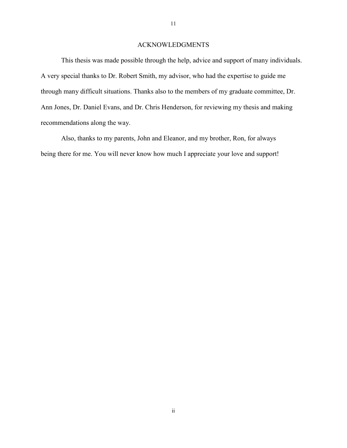#### ACKNOWLEDGMENTS

This thesis was made possible through the help, advice and support of many individuals. A very special thanks to Dr. Robert Smith, my advisor, who had the expertise to guide me through many difficult situations. Thanks also to the members of my graduate committee, Dr. Ann Jones, Dr. Daniel Evans, and Dr. Chris Henderson, for reviewing my thesis and making recommendations along the way.

Also, thanks to my parents, John and Eleanor, and my brother, Ron, for always being there for me. You will never know how much I appreciate your love and support!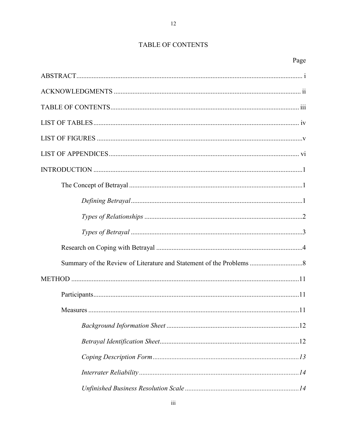### TABLE OF CONTENTS

 $12 \,$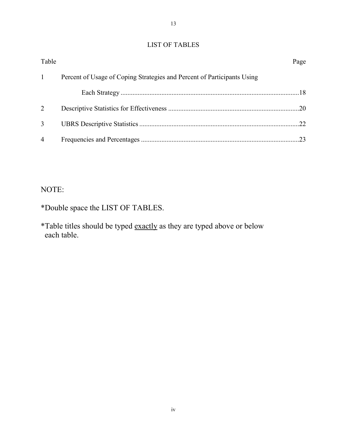### LIST OF TABLES

13

| Table          |                                                                         | Page |
|----------------|-------------------------------------------------------------------------|------|
| $\mathbf{1}$   | Percent of Usage of Coping Strategies and Percent of Participants Using |      |
|                |                                                                         |      |
| $\mathcal{D}$  |                                                                         |      |
| $\mathfrak{Z}$ |                                                                         |      |
| $\overline{4}$ |                                                                         |      |

# NOTE:

\*Double space the LIST OF TABLES.

\*Table titles should be typed exactly as they are typed above or below each table.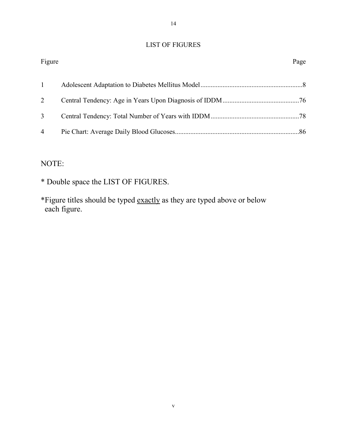### LIST OF FIGURES

| Figure         | Page |
|----------------|------|
|                |      |
| $\overline{2}$ |      |
| 3              |      |
| $\overline{4}$ |      |
|                |      |

# NOTE:

- \* Double space the LIST OF FIGURES.
- \*Figure titles should be typed exactly as they are typed above or below each figure.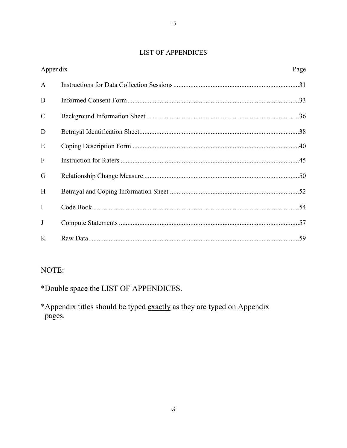### **LIST OF APPENDICES**

| Appendix      |  | Page |
|---------------|--|------|
| $\mathbf{A}$  |  |      |
| B             |  |      |
| $\mathcal{C}$ |  |      |
| D             |  |      |
| E             |  |      |
| $\mathbf{F}$  |  |      |
| G             |  |      |
| H             |  |      |
| $\mathbf{I}$  |  |      |
| J             |  |      |
| K             |  |      |

# NOTE:

\*Double space the LIST OF APPENDICES.

\*Appendix titles should be typed exactly as they are typed on Appendix pages.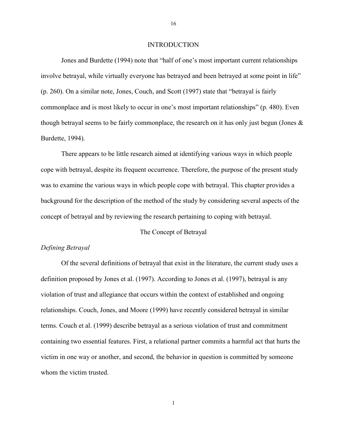#### INTRODUCTION

Jones and Burdette (1994) note that "half of one's most important current relationships involve betrayal, while virtually everyone has betrayed and been betrayed at some point in life" (p. 260). On a similar note, Jones, Couch, and Scott (1997) state that "betrayal is fairly commonplace and is most likely to occur in one's most important relationships" (p. 480). Even though betrayal seems to be fairly commonplace, the research on it has only just begun (Jones & Burdette, 1994).

There appears to be little research aimed at identifying various ways in which people cope with betrayal, despite its frequent occurrence. Therefore, the purpose of the present study was to examine the various ways in which people cope with betrayal. This chapter provides a background for the description of the method of the study by considering several aspects of the concept of betrayal and by reviewing the research pertaining to coping with betrayal.

#### The Concept of Betrayal

#### *Defining Betrayal*

Of the several definitions of betrayal that exist in the literature, the current study uses a definition proposed by Jones et al. (1997). According to Jones et al. (1997), betrayal is any violation of trust and allegiance that occurs within the context of established and ongoing relationships. Couch, Jones, and Moore (1999) have recently considered betrayal in similar terms. Couch et al. (1999) describe betrayal as a serious violation of trust and commitment containing two essential features. First, a relational partner commits a harmful act that hurts the victim in one way or another, and second, the behavior in question is committed by someone whom the victim trusted.

16

1